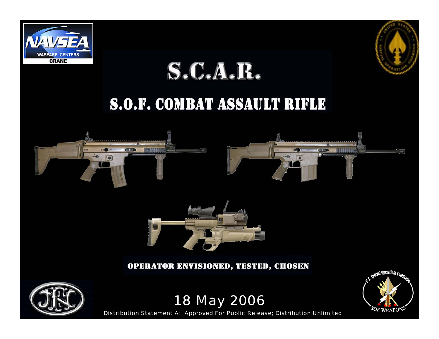

# $S.C.A.R.$

#### S.O.F. COMBAT ASSAULT RIFLE





#### **OPERATOR ENVISIONED, TESTED, CHOSEN**



18 May 2006

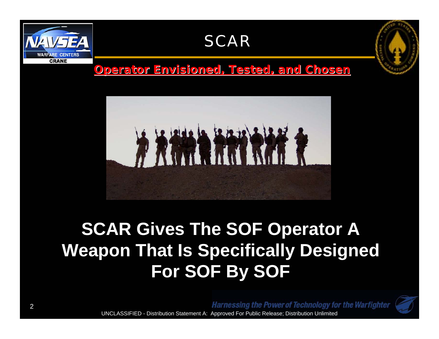

**CRANE** 

*Operator Envisioned, Tested, and Chosen Operator Envisioned, Tested, and Chosen*



## **SCAR Gives The SOF Operator A Weapon That Is Specifically Designed For SOF By SOF**

**Harnessing the Power of Technology for the Warfighter**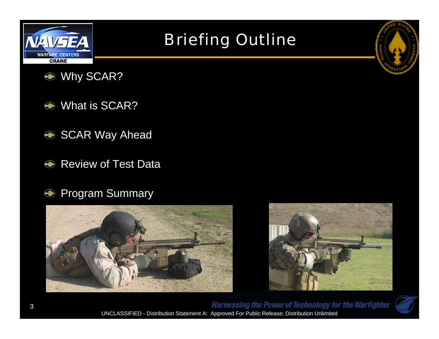

### Briefing Outline



- $\bigcirc$ What is SCAR?
- SCAR Way Ahead
- $\bigcirc$ Review of Test Data
- Program Summary  $\bigcirc$







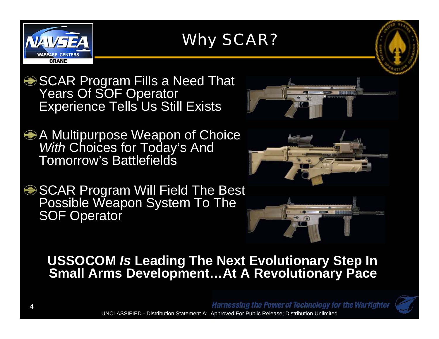

#### Why SCAR?



SCAR Program Fills a Need That Years Of SOF Operator Experience Tells Us Still Exists

A Multipurpose Weapon of Choice *With* Choices for Today's And Tomorrow's Battlefields

**SCAR Program Will Field The Best** Possible Weapon System To The SOF Operator







#### **USSOCOM** *Is* **Leading The Next Evolutionary Step In Small Arms Development…At A Revolutionary Pace**

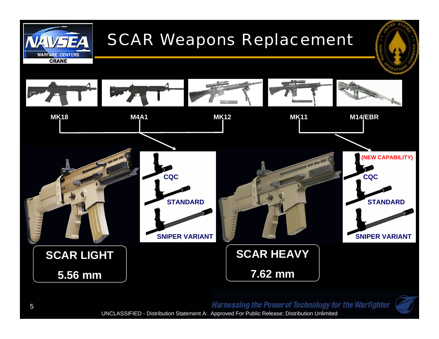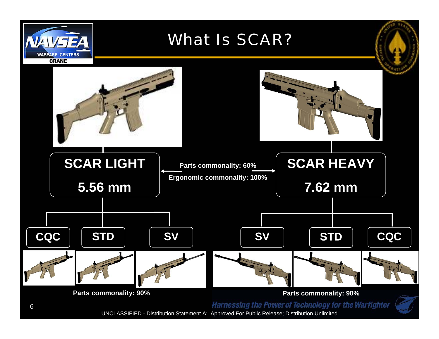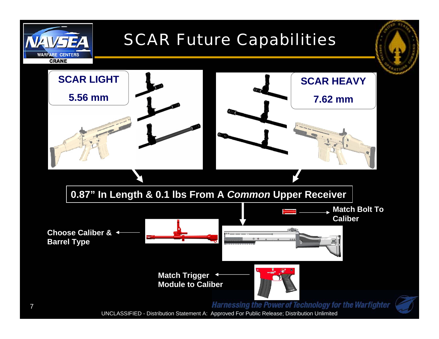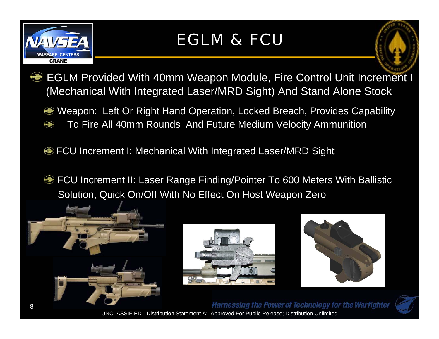

#### EGLM & FCU



- EGLM Provided With 40mm Weapon Module, Fire Control Unit Increment I (Mechanical With Integrated Laser/MRD Sight) And Stand Alone Stock
	- Weapon: Left Or Right Hand Operation, Locked Breach, Provides Capability
	- To Fire All 40mm Rounds And Future Medium Velocity Ammunition
	- **EXECU Increment I: Mechanical With Integrated Laser/MRD Sight**
	- **FCU Increment II: Laser Range Finding/Pointer To 600 Meters With Ballistic** Solution, Quick On/Off With No Effect On Host Weapon Zero





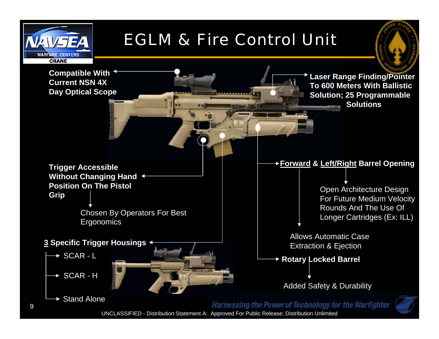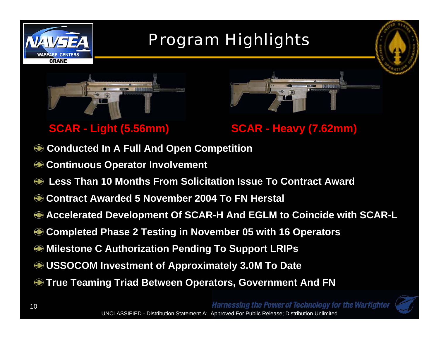



- **Conducted In A Full And Open Competition**  $\bigcirc$
- **Continuous Operator Involvement**
- $\bigcirc$ **Less Than 10 Months From Solicitation Issue To Contract Award**
- **Contract Awarded 5 November 2004 To FN Herstal**
- **Accelerated Development Of SCAR-H And EGLM to Coincide with SCAR-L**
- **Completed Phase 2 Testing in November 05 with 16 Operators**
- **Milestone C Authorization Pending To Support LRIPs**
- **USSOCOM Investment of Approximately 3.0M To Date**
- **True Teaming Triad Between Operators, Government And FN**

**Harnessing the Power of Technology for the Warfighter**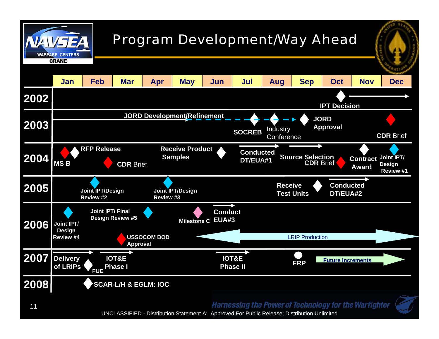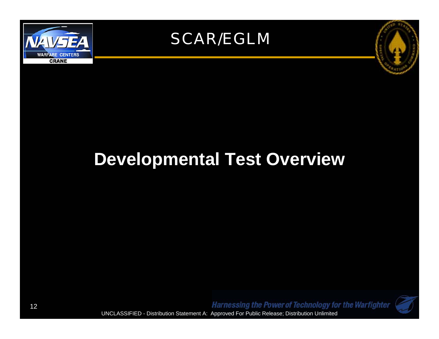





### **Developmental Test Overview**

**Harnessing the Power of Technology for the Warfighter** UNCLASSIFIED - Distribution Statement A: Approved For Public Release; Distribution Unlimited



12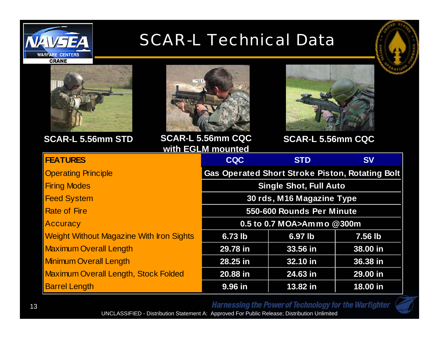

#### **SCAR-L Technical Data**







**SCAR-L 5.56mm STD SCAR-L 5.56mm CQC SCAR-L 5.56mm CQC with EGLM mounted**



| <b>FEATURES</b>                                 | WIGHTS COMMITTED TO A THREE<br><b>CQC</b>              | <b>STD</b> | <b>SV</b> |
|-------------------------------------------------|--------------------------------------------------------|------------|-----------|
| <b>Operating Principle</b>                      | <b>Gas Operated Short Stroke Piston, Rotating Bolt</b> |            |           |
| <b>Firing Modes</b>                             | <b>Single Shot, Full Auto</b>                          |            |           |
| <b>Feed System</b>                              | 30 rds, M16 Magazine Type                              |            |           |
| <b>Rate of Fire</b>                             | 550-600 Rounds Per Minute                              |            |           |
| Accuracy                                        | 0.5 to 0.7 MOA>Ammo @300m                              |            |           |
| <b>Weight Without Magazine With Iron Sights</b> | 6.73 lb                                                | 6.97 lb    | 7.56 lb   |
| <b>Maximum Overall Length</b>                   | 29.78 in                                               | 33.56 in   | 38.00 in  |
| <b>Minimum Overall Length</b>                   | 28.25 in                                               | 32.10 in   | 36.38 in  |
| <b>Maximum Overall Length, Stock Folded</b>     | 20.88 in                                               | 24.63 in   | 29.00 in  |
| <b>Barrel Length</b>                            | 9.96 in                                                | 13.82 in   | 18.00 in  |

Harnessing the Power of Technology for the Warfighter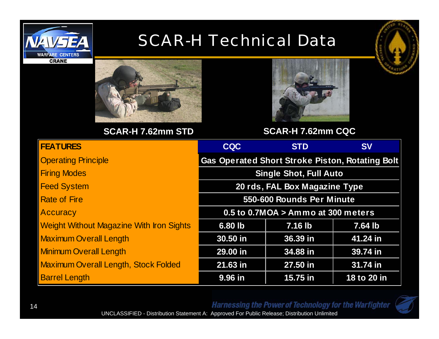

#### SCAR-H Technical Data



**CRANE** 



**SCAR-H 7.62mm STD**



**SCAR-H 7.62mm CQC**

| <b>FEATURES</b>                                 | <b>CQC</b>                                             | <b>STD</b> | <b>SV</b>   |
|-------------------------------------------------|--------------------------------------------------------|------------|-------------|
| <b>Operating Principle</b>                      | <b>Gas Operated Short Stroke Piston, Rotating Bolt</b> |            |             |
| <b>Firing Modes</b>                             | <b>Single Shot, Full Auto</b>                          |            |             |
| <b>Feed System</b>                              | 20 rds, FAL Box Magazine Type                          |            |             |
| <b>Rate of Fire</b>                             | 550-600 Rounds Per Minute                              |            |             |
| Accuracy                                        | 0.5 to 0.7MOA > Ammo at 300 meters                     |            |             |
| <b>Weight Without Magazine With Iron Sights</b> | 6.80 lb<br>7.16 lb                                     |            | 7.64 lb     |
| <b>Maximum Overall Length</b>                   | 30.50 in                                               | 36.39 in   | 41.24 in    |
| <b>Minimum Overall Length</b>                   | 29.00 in                                               | 34.88 in   | 39.74 in    |
| <b>Maximum Overall Length, Stock Folded</b>     | 21.63 in                                               | 27.50 in   | 31.74 in    |
| <b>Barrel Length</b>                            | 9.96 in                                                | 15.75 in   | 18 to 20 in |

Harnessing the Power of Technology for the Warfighter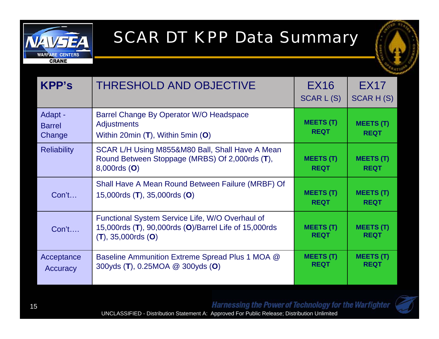

#### SCAR DT KPP Data Summary



| <b>KPP's</b>                       | <b>THRESHOLD AND OBJECTIVE</b>                                                                                                      | <b>EX16</b><br>SCAR L(S)        | <b>EX17</b><br><b>SCARH(S)</b>  |
|------------------------------------|-------------------------------------------------------------------------------------------------------------------------------------|---------------------------------|---------------------------------|
| Adapt -<br><b>Barrel</b><br>Change | Barrel Change By Operator W/O Headspace<br><b>Adjustments</b><br>Within 20min (T), Within 5min (O)                                  | <b>MEETS (T)</b><br><b>REQT</b> | <b>MEETS (T)</b><br><b>REQT</b> |
| <b>Reliability</b>                 | SCAR L/H Using M855&M80 Ball, Shall Have A Mean<br>Round Between Stoppage (MRBS) Of 2,000rds (T),<br>8,000rds (O)                   | <b>MEETS (T)</b><br><b>REQT</b> | <b>MEETS (T)</b><br><b>REQT</b> |
| Con't                              | Shall Have A Mean Round Between Failure (MRBF) Of<br>15,000rds (T), 35,000rds (O)                                                   | <b>MEETS (T)</b><br><b>REQT</b> | <b>MEETS (T)</b><br><b>REQT</b> |
| Con't                              | Functional System Service Life, W/O Overhaul of<br>15,000rds (T), 90,000rds (O)/Barrel Life of 15,000rds<br>$(T)$ , 35,000rds $(O)$ | <b>MEETS (T)</b><br><b>REQT</b> | <b>MEETS (T)</b><br><b>REQT</b> |
| Acceptance<br>Accuracy             | Baseline Ammunition Extreme Spread Plus 1 MOA @<br>300yds (T), 0.25MOA @ 300yds (O)                                                 | <b>MEETS (T)</b><br><b>REQT</b> | <b>MEETS (T)</b><br><b>REQT</b> |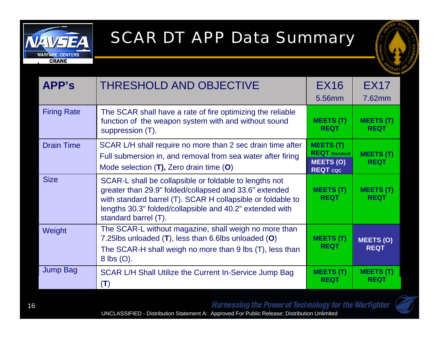

#### SCAR DT APP Data Summary



| APP's              | <b>THRESHOLD AND OBJECTIVE</b>                                                                                                                                                                                                                                      | <b>EX16</b><br>5.56mm                                                           | <b>EX17</b><br>7.62mm           |
|--------------------|---------------------------------------------------------------------------------------------------------------------------------------------------------------------------------------------------------------------------------------------------------------------|---------------------------------------------------------------------------------|---------------------------------|
| <b>Firing Rate</b> | The SCAR shall have a rate of fire optimizing the reliable<br>function of the weapon system with and without sound<br>suppression (T).                                                                                                                              | <b>MEETS (T)</b><br><b>REQT</b>                                                 | <b>MEETS (T)</b><br><b>REQT</b> |
| <b>Drain Time</b>  | SCAR L/H shall require no more than 2 sec drain time after<br>Full submersion in, and removal from sea water after firing<br>Mode selection (T), Zero drain time (O)                                                                                                | <b>MEETS (T)</b><br><b>REQT</b> Standard<br><b>MEETS (O)</b><br><b>REQT</b> coc | <b>MEETS (T)</b><br><b>REQT</b> |
| <b>Size</b>        | SCAR-L shall be collapsible or foldable to lengths not<br>greater than 29.9" folded/collapsed and 33.6" extended<br>with standard barrel (T). SCAR H collapsible or foldable to<br>lengths 30.3" folded/collapsible and 40.2" extended with<br>standard barrel (T). | <b>MEETS (T)</b><br><b>REQT</b>                                                 | <b>MEETS (T)</b><br><b>REQT</b> |
| Weight             | The SCAR-L without magazine, shall weigh no more than<br>7.25lbs unloaded (T), less than 6.6lbs unloaded (O)<br>The SCAR-H shall weigh no more than 9 lbs (T), less than<br>$8$ lbs $(O)$ .                                                                         | <b>MEETS (T)</b><br><b>REQT</b>                                                 | <b>MEETS (O)</b><br><b>REQT</b> |
| <b>Jump Bag</b>    | SCAR L/H Shall Utilize the Current In-Service Jump Bag<br>(T)                                                                                                                                                                                                       | <b>MEETS (T)</b><br><b>REQT</b>                                                 | <b>MEETS (T)</b><br><b>REQT</b> |

Harnessing the Power of Technology for the Warfighter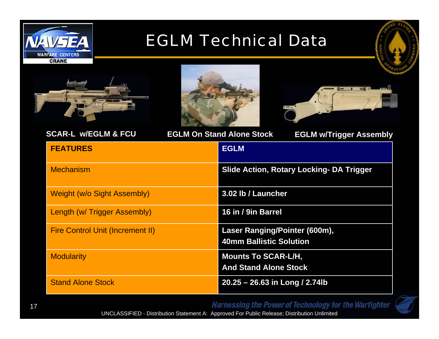

#### EGLM Technical Data







| <b>SCAR-L w/EGLM &amp; FCU</b>          | <b>EGLM On Stand Alone Stock</b><br><b>EGLM w/Trigger Assembly</b> |
|-----------------------------------------|--------------------------------------------------------------------|
| <b>FEATURES</b>                         | <b>EGLM</b>                                                        |
| <b>Mechanism</b>                        | <b>Slide Action, Rotary Locking- DA Trigger</b>                    |
| <b>Weight (w/o Sight Assembly)</b>      | 3.02 lb / Launcher                                                 |
| Length (w/ Trigger Assembly)            | 16 in / 9in Barrel                                                 |
| <b>Fire Control Unit (Increment II)</b> | Laser Ranging/Pointer (600m),<br><b>40mm Ballistic Solution</b>    |
| <b>Modularity</b>                       | <b>Mounts To SCAR-L/H,</b><br><b>And Stand Alone Stock</b>         |
| <b>Stand Alone Stock</b>                | 20.25 - 26.63 in Long / 2.74lb                                     |

Harnessing the Power of Technology for the Warfighter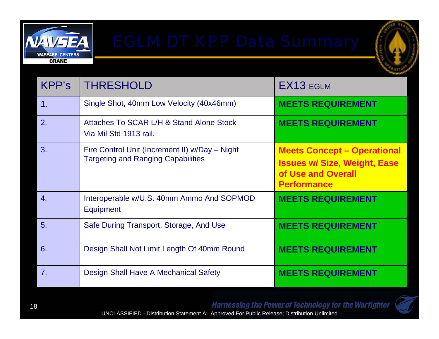



| KPP's            | <b>THRESHOLD</b>                                                                            | EX13 EGLM                                                                                                             |
|------------------|---------------------------------------------------------------------------------------------|-----------------------------------------------------------------------------------------------------------------------|
| 1.               | Single Shot, 40mm Low Velocity (40x46mm)                                                    | <b>MEETS REQUIREMENT</b>                                                                                              |
| 2.               | Attaches To SCAR L/H & Stand Alone Stock<br>Via Mil Std 1913 rail.                          | <b>MEETS REQUIREMENT</b>                                                                                              |
| 3.               | Fire Control Unit (Increment II) w/Day - Night<br><b>Targeting and Ranging Capabilities</b> | <b>Meets Concept - Operational</b><br><b>Issues w/ Size, Weight, Ease</b><br>of Use and Overall<br><b>Performance</b> |
| $\overline{4}$ . | Interoperable w/U.S. 40mm Ammo And SOPMOD<br><b>Equipment</b>                               | <b>MEETS REQUIREMENT</b>                                                                                              |
| 5.               | Safe During Transport, Storage, And Use                                                     | <b>MEETS REQUIREMENT</b>                                                                                              |
| 6.               | Design Shall Not Limit Length Of 40mm Round                                                 | <b>MEETS REQUIREMENT</b>                                                                                              |
| 7 <sub>1</sub>   | Design Shall Have A Mechanical Safety                                                       | <b>MEETS REQUIREMENT</b>                                                                                              |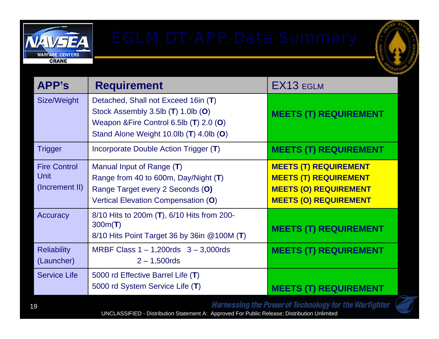



| APP's                                         | <b>Requirement</b>                                                                                                                                              | EX13 EGLM                                                                                                                    |
|-----------------------------------------------|-----------------------------------------------------------------------------------------------------------------------------------------------------------------|------------------------------------------------------------------------------------------------------------------------------|
| Size/Weight                                   | Detached, Shall not Exceed 16in (T)<br>Stock Assembly 3.5lb (T) 1.0lb (O)<br>Weapon & Fire Control 6.5lb (T) 2.0 (O)<br>Stand Alone Weight 10.0lb (T) 4.0lb (O) | <b>MEETS (T) REQUIREMENT</b>                                                                                                 |
| <b>Trigger</b>                                | Incorporate Double Action Trigger (T)                                                                                                                           | <b>MEETS (T) REQUIREMENT</b>                                                                                                 |
| <b>Fire Control</b><br>Unit<br>(Increment II) | Manual Input of Range (T)<br>Range from 40 to 600m, Day/Night (T)<br>Range Target every 2 Seconds (O)<br>Vertical Elevation Compensation (O)                    | <b>MEETS (T) REQUIREMENT</b><br><b>MEETS (T) REQUIREMENT</b><br><b>MEETS (O) REQUIREMENT</b><br><b>MEETS (O) REQUIREMENT</b> |
| Accuracy                                      | 8/10 Hits to 200m (T), 6/10 Hits from 200-<br>300m(T)<br>8/10 Hits Point Target 36 by 36in @100M (T)                                                            | <b>MEETS (T) REQUIREMENT</b>                                                                                                 |
| <b>Reliability</b><br>(Launcher)              | MRBF Class $1 - 1,200$ rds $3 - 3,000$ rds<br>$2 - 1,500$ rds                                                                                                   | <b>MEETS (T) REQUIREMENT</b>                                                                                                 |
| <b>Service Life</b>                           | 5000 rd Effective Barrel Life (T)<br>5000 rd System Service Life (T)                                                                                            | <b>MEETS (T) REQUIREMENT</b>                                                                                                 |

**Harnessing the Power of Technology for the Warfighter**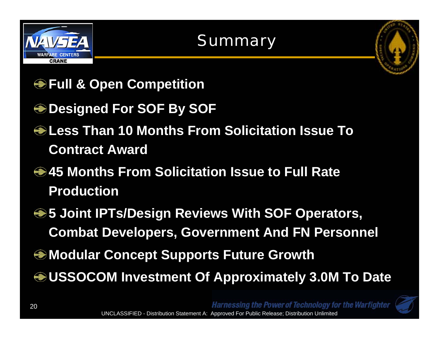

#### Summary



- **Full & Open Competition**
- **Designed For SOF By SOF**
- **Less Than 10 Months From Solicitation Issue To Contract Award**
- **45 Months From Solicitation Issue to Full Rate Production**
- **<sup>●</sup> 5 Joint IPTs/Design Reviews With SOF Operators, Combat Developers, Government And FN Personnel**
- **Modular Concept Supports Future Growth**
- **USSOCOM Investment Of Approximately 3.0M To Date**